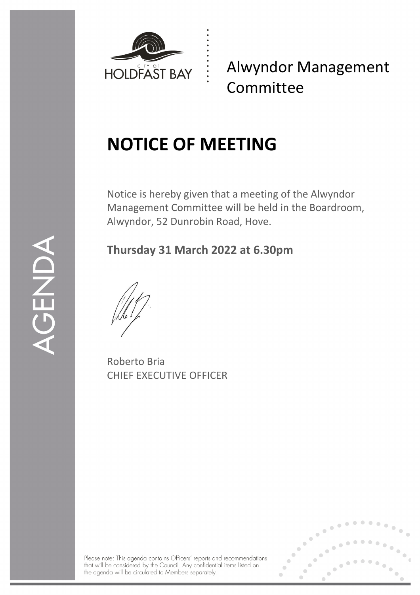

Alwyndor Management Committee

# **NOTICE OF MEETING**

Notice is hereby given that a meeting of the Alwyndor Management Committee will be held in the Boardroom, Alwyndor, 52 Dunrobin Road, Hove.

# **Thursday 31 March 2022 at 6.30pm**

Roberto Bria CHIEF EXECUTIVE OFFICER

Please note: This agenda contains Officers' reports and recommendations that will be considered by the Council. Any confidential items listed on the agenda will be circulated to Members separately.



 $\begin{array}{c} \n\text{)}\n\hline\n\text{L}\n\end{array}$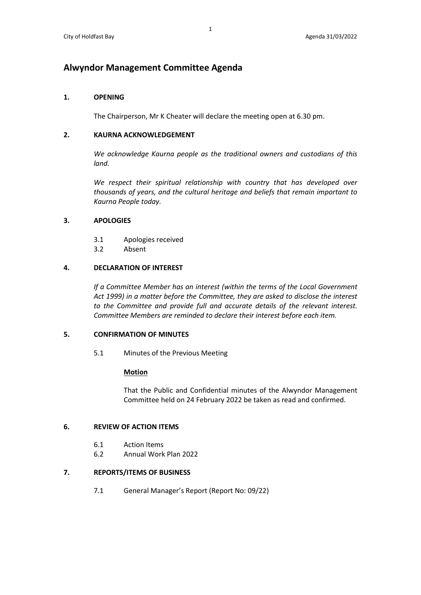# **Alwyndor Management Committee Agenda**

# **1. OPENING**

The Chairperson, Mr K Cheater will declare the meeting open at 6.30 pm.

### **2. KAURNA ACKNOWLEDGEMENT**

*We acknowledge Kaurna people as the traditional owners and custodians of this land.* 

We respect their spiritual relationship with country that has developed over *thousands of years, and the cultural heritage and beliefs that remain important to Kaurna People today.* 

### **3. APOLOGIES**

- 3.1 Apologies received
- 3.2 Absent

### **4. DECLARATION OF INTEREST**

*If a Committee Member has an interest (within the terms of the Local Government Act 1999) in a matter before the Committee, they are asked to disclose the interest to the Committee and provide full and accurate details of the relevant interest. Committee Members are reminded to declare their interest before each item.*

# **5. CONFIRMATION OF MINUTES**

5.1 Minutes of the Previous Meeting

#### **Motion**

That the Public and Confidential minutes of the Alwyndor Management Committee held on 24 February 2022 be taken as read and confirmed.

# **6. REVIEW OF ACTION ITEMS**

- 6.1 Action Items
- 6.2 Annual Work Plan 2022

# **7. REPORTS/ITEMS OF BUSINESS**

7.1 General Manager's Report (Report No: 09/22)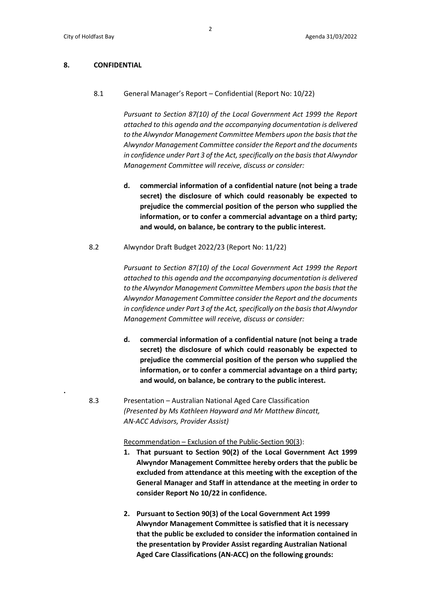**.** 

#### **8. CONFIDENTIAL**

8.1 General Manager's Report – Confidential (Report No: 10/22)

*Pursuant to Section 87(10) of the Local Government Act 1999 the Report attached to this agenda and the accompanying documentation is delivered to the Alwyndor Management Committee Members upon the basis that the Alwyndor Management Committee consider the Report and the documents in confidence under Part 3 of the Act, specifically on the basis that Alwyndor Management Committee will receive, discuss or consider:*

- **d. commercial information of a confidential nature (not being a trade secret) the disclosure of which could reasonably be expected to prejudice the commercial position of the person who supplied the information, or to confer a commercial advantage on a third party; and would, on balance, be contrary to the public interest.**
- 8.2 Alwyndor Draft Budget 2022/23 (Report No: 11/22)

*Pursuant to Section 87(10) of the Local Government Act 1999 the Report attached to this agenda and the accompanying documentation is delivered to the Alwyndor Management Committee Members upon the basis that the Alwyndor Management Committee consider the Report and the documents in confidence under Part 3 of the Act, specifically on the basis that Alwyndor Management Committee will receive, discuss or consider:*

- **d. commercial information of a confidential nature (not being a trade secret) the disclosure of which could reasonably be expected to prejudice the commercial position of the person who supplied the information, or to confer a commercial advantage on a third party; and would, on balance, be contrary to the public interest.**
- 8.3 Presentation Australian National Aged Care Classification *(Presented by Ms Kathleen Hayward and Mr Matthew Bincatt, AN-ACC Advisors, Provider Assist)*

Recommendation – Exclusion of the Public-Section 90(3):

- **1. That pursuant to Section 90(2) of the Local Government Act 1999 Alwyndor Management Committee hereby orders that the public be excluded from attendance at this meeting with the exception of the General Manager and Staff in attendance at the meeting in order to consider Report No 10/22 in confidence.**
- **2. Pursuant to Section 90(3) of the Local Government Act 1999 Alwyndor Management Committee is satisfied that it is necessary that the public be excluded to consider the information contained in the presentation by Provider Assist regarding Australian National Aged Care Classifications (AN-ACC) on the following grounds:**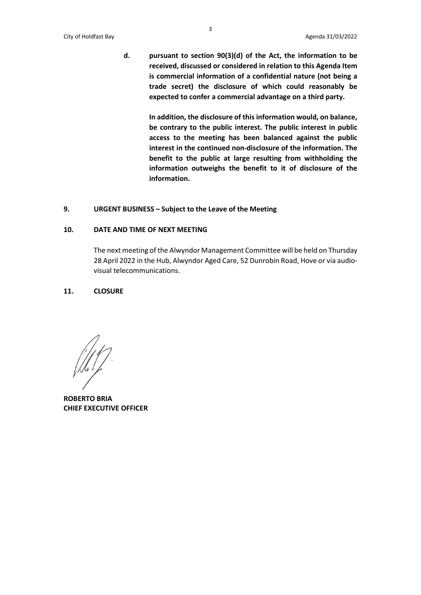**d. pursuant to section 90(3)(d) of the Act, the information to be received, discussed or considered in relation to this Agenda Item is commercial information of a confidential nature (not being a trade secret) the disclosure of which could reasonably be expected to confer a commercial advantage on a third party.**

> **In addition, the disclosure of this information would, on balance, be contrary to the public interest. The public interest in public access to the meeting has been balanced against the public interest in the continued non-disclosure of the information. The benefit to the public at large resulting from withholding the information outweighs the benefit to it of disclosure of the information.**

# **9. URGENT BUSINESS – Subject to the Leave of the Meeting**

#### **10. DATE AND TIME OF NEXT MEETING**

The next meeting of the Alwyndor Management Committee will be held on Thursday 28 April 2022 in the Hub, Alwyndor Aged Care, 52 Dunrobin Road, Hove or via audiovisual telecommunications.

#### **11. CLOSURE**

**ROBERTO BRIA CHIEF EXECUTIVE OFFICER**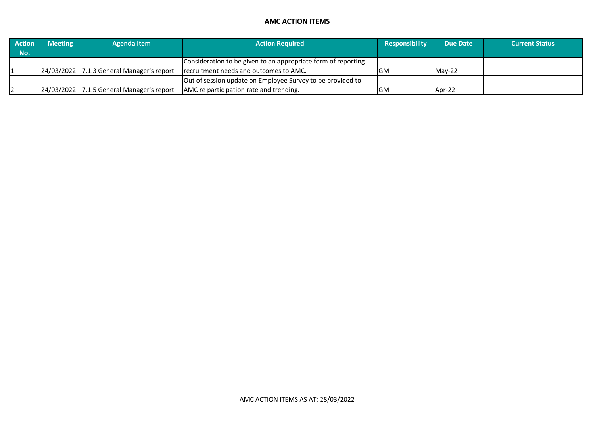# **AMC ACTION ITEMS**

| <b>Action</b> | <b>Meeting</b> | <b>Agenda Item</b>                        | <b>Action Required</b>                                        | <b>Responsibility</b> | <b>Due Date</b> | <b>Current Status</b> |
|---------------|----------------|-------------------------------------------|---------------------------------------------------------------|-----------------------|-----------------|-----------------------|
| Mo.           |                |                                           |                                                               |                       |                 |                       |
|               |                |                                           | Consideration to be given to an appropriate form of reporting |                       |                 |                       |
|               |                | 24/03/2022 7.1.3 General Manager's report | recruitment needs and outcomes to AMC.                        | IGM                   | $Mav-22$        |                       |
|               |                |                                           | Out of session update on Employee Survey to be provided to    |                       |                 |                       |
|               |                | 24/03/2022 7.1.5 General Manager's report | AMC re participation rate and trending.                       | <b>GM</b>             | Apr-22          |                       |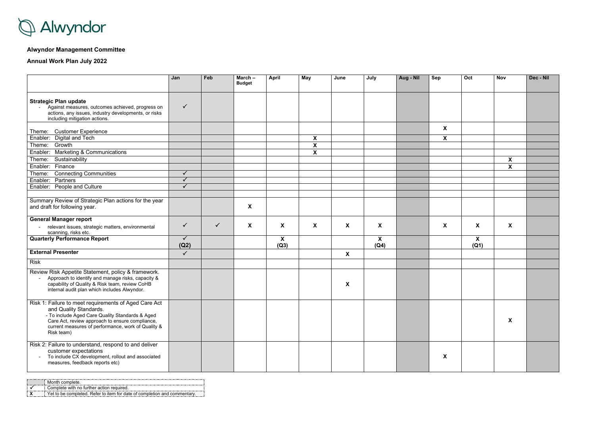

# **Alwyndor Management Committee**

**Annual Work Plan July 2022**

|                                                                                                                                                                                                                                                           | Jan                  | Feb          | March-<br><b>Budget</b> | <b>April</b> | May                       | June             | July                      | Aug - Nil | Sep              | $\overline{Oct}$ | <b>Nov</b>                | Dec - Nil |
|-----------------------------------------------------------------------------------------------------------------------------------------------------------------------------------------------------------------------------------------------------------|----------------------|--------------|-------------------------|--------------|---------------------------|------------------|---------------------------|-----------|------------------|------------------|---------------------------|-----------|
| <b>Strategic Plan update</b><br>Against measures, outcomes achieved, progress on<br>actions, any issues, industry developments, or risks<br>including mitigation actions.                                                                                 | $\checkmark$         |              |                         |              |                           |                  |                           |           |                  |                  |                           |           |
| <b>Customer Experience</b><br>Theme:                                                                                                                                                                                                                      |                      |              |                         |              |                           |                  |                           |           | $\boldsymbol{X}$ |                  |                           |           |
| Digital and Tech<br>Enabler:                                                                                                                                                                                                                              |                      |              |                         |              | X                         |                  |                           |           | X                |                  |                           |           |
| Theme:<br>Growth                                                                                                                                                                                                                                          |                      |              |                         |              | $\boldsymbol{\mathsf{X}}$ |                  |                           |           |                  |                  |                           |           |
| <b>Marketing &amp; Communications</b><br>Enabler:                                                                                                                                                                                                         |                      |              |                         |              | $\boldsymbol{\mathsf{X}}$ |                  |                           |           |                  |                  |                           |           |
| Sustainability<br>Theme:                                                                                                                                                                                                                                  |                      |              |                         |              |                           |                  |                           |           |                  |                  | $\boldsymbol{\mathsf{X}}$ |           |
| Finance<br>Enabler:                                                                                                                                                                                                                                       |                      |              |                         |              |                           |                  |                           |           |                  |                  | $\mathbf{X}$              |           |
| Theme:<br><b>Connecting Communities</b>                                                                                                                                                                                                                   | $\checkmark$         |              |                         |              |                           |                  |                           |           |                  |                  |                           |           |
| Enabler: Partners                                                                                                                                                                                                                                         | $\checkmark$         |              |                         |              |                           |                  |                           |           |                  |                  |                           |           |
| Enabler: People and Culture                                                                                                                                                                                                                               | $\checkmark$         |              |                         |              |                           |                  |                           |           |                  |                  |                           |           |
|                                                                                                                                                                                                                                                           |                      |              |                         |              |                           |                  |                           |           |                  |                  |                           |           |
| Summary Review of Strategic Plan actions for the year<br>and draft for following year.                                                                                                                                                                    |                      |              | X                       |              |                           |                  |                           |           |                  |                  |                           |           |
| <b>General Manager report</b>                                                                                                                                                                                                                             |                      |              |                         |              |                           |                  |                           |           |                  |                  |                           |           |
| relevant issues, strategic matters, environmental<br>scanning, risks etc.                                                                                                                                                                                 | $\checkmark$         | $\checkmark$ | X                       | X            | X                         | X                | $\boldsymbol{\mathsf{X}}$ |           | X                | X                | X                         |           |
| <b>Quarterly Performance Report</b>                                                                                                                                                                                                                       | $\checkmark$<br>(Q2) |              |                         | X<br>(Q3)    |                           |                  | $\boldsymbol{X}$<br>(Q4)  |           |                  | X<br>(Q1)        |                           |           |
| <b>External Presenter</b>                                                                                                                                                                                                                                 | $\checkmark$         |              |                         |              |                           | $\boldsymbol{X}$ |                           |           |                  |                  |                           |           |
| <b>Risk</b>                                                                                                                                                                                                                                               |                      |              |                         |              |                           |                  |                           |           |                  |                  |                           |           |
| Review Risk Appetite Statement, policy & framework.<br>Approach to identify and manage risks, capacity &<br>capability of Quality & Risk team, review CoHB<br>internal audit plan which includes Alwyndor.                                                |                      |              |                         |              |                           | X                |                           |           |                  |                  |                           |           |
| Risk 1: Failure to meet requirements of Aged Care Act<br>and Quality Standards.<br>- To include Aged Care Quality Standards & Aged<br>Care Act, review approach to ensure compliance,<br>current measures of performance, work of Quality &<br>Risk team) |                      |              |                         |              |                           |                  |                           |           |                  |                  | X                         |           |
| Risk 2: Failure to understand, respond to and deliver<br>customer expectations<br>To include CX development, rollout and associated<br>measures, feedback reports etc)                                                                                    |                      |              |                         |              |                           |                  |                           |           | $\boldsymbol{X}$ |                  |                           |           |

|  | Complete with no further action required                                |
|--|-------------------------------------------------------------------------|
|  | he completed. Refer to item for date of completion and comm<br>. Yet to |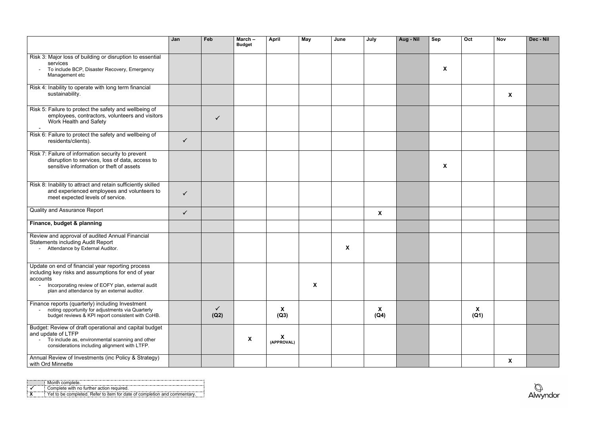| onth complete.                                                        |
|-----------------------------------------------------------------------|
| Complete with no further action required.                             |
| Yet to be completed. Refer to item for date of completion and comment |



|                                                                                                                                                                                                                          | Jan          | Feb                  | March $-$<br><b>Budget</b> | <b>April</b>    | May | June               | July      | Aug - Nil | <b>Sep</b> | Oct       | <b>Nov</b> | Dec - Nil |
|--------------------------------------------------------------------------------------------------------------------------------------------------------------------------------------------------------------------------|--------------|----------------------|----------------------------|-----------------|-----|--------------------|-----------|-----------|------------|-----------|------------|-----------|
| Risk 3: Major loss of building or disruption to essential<br>services<br>To include BCP, Disaster Recovery, Emergency<br>Management etc                                                                                  |              |                      |                            |                 |     |                    |           |           | X          |           |            |           |
| Risk 4: Inability to operate with long term financial<br>sustainability.                                                                                                                                                 |              |                      |                            |                 |     |                    |           |           |            |           | X          |           |
| Risk 5: Failure to protect the safety and wellbeing of<br>employees, contractors, volunteers and visitors<br>Work Health and Safety                                                                                      |              |                      |                            |                 |     |                    |           |           |            |           |            |           |
| Risk 6: Failure to protect the safety and wellbeing of<br>residents/clients).                                                                                                                                            | $\checkmark$ |                      |                            |                 |     |                    |           |           |            |           |            |           |
| Risk 7: Failure of information security to prevent<br>disruption to services, loss of data, access to<br>sensitive information or theft of assets                                                                        |              |                      |                            |                 |     |                    |           |           | X          |           |            |           |
| Risk 8: Inability to attract and retain sufficiently skilled<br>and experienced employees and volunteers to<br>meet expected levels of service.                                                                          | $\checkmark$ |                      |                            |                 |     |                    |           |           |            |           |            |           |
| <b>Quality and Assurance Report</b>                                                                                                                                                                                      | $\checkmark$ |                      |                            |                 |     |                    | X         |           |            |           |            |           |
| Finance, budget & planning                                                                                                                                                                                               |              |                      |                            |                 |     |                    |           |           |            |           |            |           |
| Review and approval of audited Annual Financial<br><b>Statements including Audit Report</b><br>Attendance by External Auditor.                                                                                           |              |                      |                            |                 |     | $\pmb{\mathsf{X}}$ |           |           |            |           |            |           |
| Update on end of financial year reporting process<br>including key risks and assumptions for end of year<br>accounts<br>Incorporating review of EOFY plan, external audit<br>plan and attendance by an external auditor. |              |                      |                            |                 | X   |                    |           |           |            |           |            |           |
| Finance reports (quarterly) including Investment<br>noting opportunity for adjustments via Quarterly<br>budget reviews & KPI report consistent with CoHB.                                                                |              | $\checkmark$<br>(Q2) |                            | X<br>(Q3)       |     |                    | X<br>(Q4) |           |            | X<br>(Q1) |            |           |
| Budget: Review of draft operational and capital budget<br>and update of LTFP<br>To include as, environmental scanning and other<br>considerations including alignment with LTFP.                                         |              |                      | X                          | X<br>(APPROVAL) |     |                    |           |           |            |           |            |           |
| Annual Review of Investments (inc Policy & Strategy)<br>with Ord Minnette                                                                                                                                                |              |                      |                            |                 |     |                    |           |           |            |           | X          |           |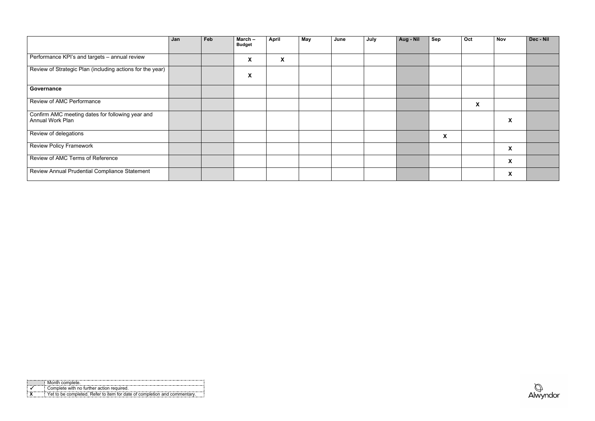|  | nth ∩nmn                                                                 |
|--|--------------------------------------------------------------------------|
|  | Complete with no further action required                                 |
|  | Yet to be completed. Refer to item for date of completion and commentary |



|                                                                             | Jan | Feb | March $-$<br><b>Budget</b> | <b>April</b> | <b>May</b> | June | July | Aug - Nil | <b>Sep</b> | Oct                       | <b>Nov</b>                | Dec - Nil |
|-----------------------------------------------------------------------------|-----|-----|----------------------------|--------------|------------|------|------|-----------|------------|---------------------------|---------------------------|-----------|
| Performance KPI's and targets - annual review                               |     |     | $\boldsymbol{\mathsf{X}}$  | X            |            |      |      |           |            |                           |                           |           |
| Review of Strategic Plan (including actions for the year)                   |     |     | $\boldsymbol{\mathsf{X}}$  |              |            |      |      |           |            |                           |                           |           |
| Governance                                                                  |     |     |                            |              |            |      |      |           |            |                           |                           |           |
| Review of AMC Performance                                                   |     |     |                            |              |            |      |      |           |            | $\boldsymbol{\mathsf{X}}$ |                           |           |
| Confirm AMC meeting dates for following year and<br><b>Annual Work Plan</b> |     |     |                            |              |            |      |      |           |            |                           | $\boldsymbol{\mathsf{X}}$ |           |
| Review of delegations                                                       |     |     |                            |              |            |      |      |           | X          |                           |                           |           |
| <b>Review Policy Framework</b>                                              |     |     |                            |              |            |      |      |           |            |                           | X                         |           |
| Review of AMC Terms of Reference                                            |     |     |                            |              |            |      |      |           |            |                           | X                         |           |
| Review Annual Prudential Compliance Statement                               |     |     |                            |              |            |      |      |           |            |                           | $\boldsymbol{\mathsf{X}}$ |           |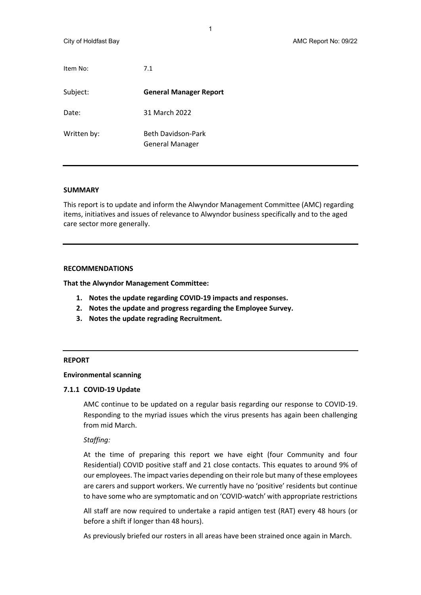| Item No:    | 7.1                                          |
|-------------|----------------------------------------------|
| Subject:    | <b>General Manager Report</b>                |
| Date:       | 31 March 2022                                |
| Written by: | Beth Davidson-Park<br><b>General Manager</b> |

#### **SUMMARY**

This report is to update and inform the Alwyndor Management Committee (AMC) regarding items, initiatives and issues of relevance to Alwyndor business specifically and to the aged care sector more generally.

#### **RECOMMENDATIONS**

**That the Alwyndor Management Committee:**

- **1. Notes the update regarding COVID-19 impacts and responses.**
- **2. Notes the update and progress regarding the Employee Survey.**
- **3. Notes the update regrading Recruitment.**

#### **REPORT**

#### **Environmental scanning**

#### **7.1.1 COVID-19 Update**

AMC continue to be updated on a regular basis regarding our response to COVID-19. Responding to the myriad issues which the virus presents has again been challenging from mid March.

#### *Staffing:*

At the time of preparing this report we have eight (four Community and four Residential) COVID positive staff and 21 close contacts. This equates to around 9% of our employees. The impact varies depending on their role but many of these employees are carers and support workers. We currently have no 'positive' residents but continue to have some who are symptomatic and on 'COVID-watch' with appropriate restrictions

All staff are now required to undertake a rapid antigen test (RAT) every 48 hours (or before a shift if longer than 48 hours).

As previously briefed our rosters in all areas have been strained once again in March.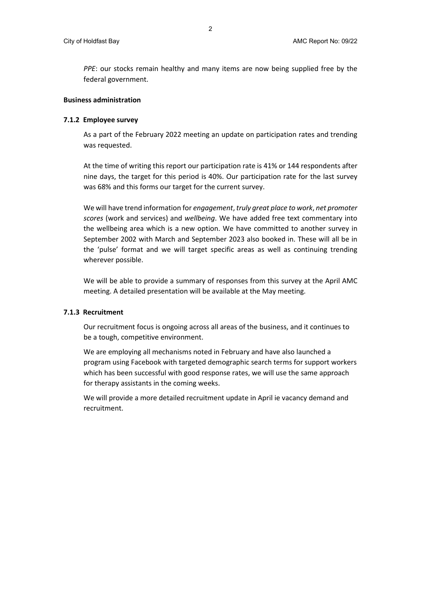*PPE*: our stocks remain healthy and many items are now being supplied free by the federal government.

# **Business administration**

### **7.1.2 Employee survey**

As a part of the February 2022 meeting an update on participation rates and trending was requested.

At the time of writing this report our participation rate is 41% or 144 respondents after nine days, the target for this period is 40%. Our participation rate for the last survey was 68% and this forms our target for the current survey.

We will have trend information for *engagement*, *truly great place to work*, *net promoter scores* (work and services) and *wellbeing*. We have added free text commentary into the wellbeing area which is a new option. We have committed to another survey in September 2002 with March and September 2023 also booked in. These will all be in the 'pulse' format and we will target specific areas as well as continuing trending wherever possible.

We will be able to provide a summary of responses from this survey at the April AMC meeting. A detailed presentation will be available at the May meeting.

#### **7.1.3 Recruitment**

Our recruitment focus is ongoing across all areas of the business, and it continues to be a tough, competitive environment.

We are employing all mechanisms noted in February and have also launched a program using Facebook with targeted demographic search terms for support workers which has been successful with good response rates, we will use the same approach for therapy assistants in the coming weeks.

We will provide a more detailed recruitment update in April ie vacancy demand and recruitment.